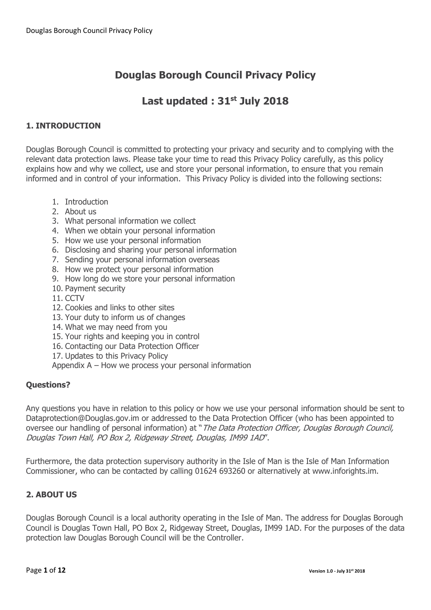# **Last updated : 31st July 2018**

# **1. INTRODUCTION**

Douglas Borough Council is committed to protecting your privacy and security and to complying with the relevant data protection laws. Please take your time to read this Privacy Policy carefully, as this policy explains how and why we collect, use and store your personal information, to ensure that you remain informed and in control of your information. This Privacy Policy is divided into the following sections:

- 1. Introduction
- 2. About us
- 3. What personal information we collect
- 4. When we obtain your personal information
- 5. How we use your personal information
- 6. Disclosing and sharing your personal information
- 7. Sending your personal information overseas
- 8. How we protect your personal information
- 9. How long do we store your personal information
- 10. Payment security
- 11. CCTV
- 12. Cookies and links to other sites
- 13. Your duty to inform us of changes
- 14. What we may need from you
- 15. Your rights and keeping you in control
- 16. Contacting our Data Protection Officer
- 17. Updates to this Privacy Policy
- Appendix A How we process your personal information

## **Questions?**

Any questions you have in relation to this policy or how we use your personal information should be sent to Dataprotection@Douglas.gov.im or addressed to the Data Protection Officer (who has been appointed to oversee our handling of personal information) at "The Data Protection Officer, Douglas Borough Council, Douglas Town Hall, PO Box 2, Ridgeway Street, Douglas, IM99 1AD".

Furthermore, the data protection supervisory authority in the Isle of Man is the Isle of Man Information Commissioner, who can be contacted by calling 01624 693260 or alternatively at www.inforights.im.

# **2. ABOUT US**

Douglas Borough Council is a local authority operating in the Isle of Man. The address for Douglas Borough Council is Douglas Town Hall, PO Box 2, Ridgeway Street, Douglas, IM99 1AD. For the purposes of the data protection law Douglas Borough Council will be the Controller.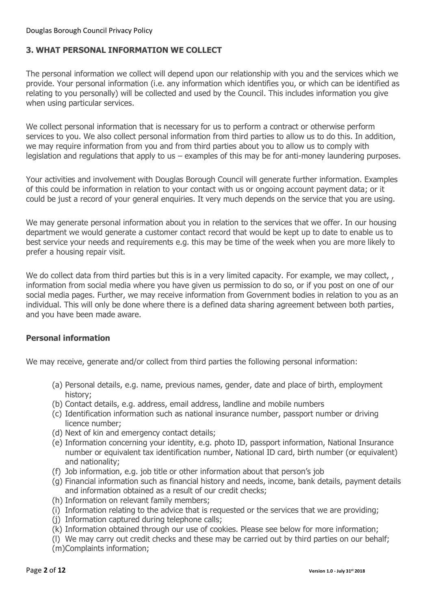# **3. WHAT PERSONAL INFORMATION WE COLLECT**

The personal information we collect will depend upon our relationship with you and the services which we provide. Your personal information (i.e. any information which identifies you, or which can be identified as relating to you personally) will be collected and used by the Council. This includes information you give when using particular services.

We collect personal information that is necessary for us to perform a contract or otherwise perform services to you. We also collect personal information from third parties to allow us to do this. In addition, we may require information from you and from third parties about you to allow us to comply with legislation and regulations that apply to us – examples of this may be for anti-money laundering purposes.

Your activities and involvement with Douglas Borough Council will generate further information. Examples of this could be information in relation to your contact with us or ongoing account payment data; or it could be just a record of your general enquiries. It very much depends on the service that you are using.

We may generate personal information about you in relation to the services that we offer. In our housing department we would generate a customer contact record that would be kept up to date to enable us to best service your needs and requirements e.g. this may be time of the week when you are more likely to prefer a housing repair visit.

We do collect data from third parties but this is in a very limited capacity. For example, we may collect, , information from social media where you have given us permission to do so, or if you post on one of our social media pages. Further, we may receive information from Government bodies in relation to you as an individual. This will only be done where there is a defined data sharing agreement between both parties, and you have been made aware.

## **Personal information**

We may receive, generate and/or collect from third parties the following personal information:

- (a) Personal details, e.g. name, previous names, gender, date and place of birth, employment history;
- (b) Contact details, e.g. address, email address, landline and mobile numbers
- (c) Identification information such as national insurance number, passport number or driving licence number;
- (d) Next of kin and emergency contact details;
- (e) Information concerning your identity, e.g. photo ID, passport information, National Insurance number or equivalent tax identification number, National ID card, birth number (or equivalent) and nationality;
- (f) Job information, e.g. job title or other information about that person's job
- (g) Financial information such as financial history and needs, income, bank details, payment details and information obtained as a result of our credit checks;
- (h) Information on relevant family members;
- (i) Information relating to the advice that is requested or the services that we are providing;
- (j) Information captured during telephone calls;
- (k) Information obtained through our use of cookies. Please see below for more information;
- (l) We may carry out credit checks and these may be carried out by third parties on our behalf;
- (m)Complaints information;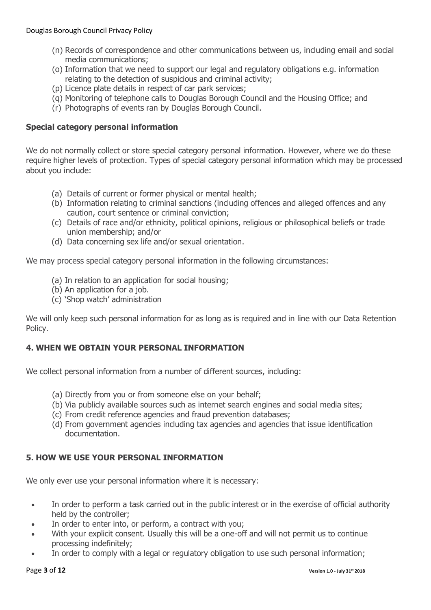- (n) Records of correspondence and other communications between us, including email and social media communications;
- (o) Information that we need to support our legal and regulatory obligations e.g. information relating to the detection of suspicious and criminal activity;
- (p) Licence plate details in respect of car park services;
- (q) Monitoring of telephone calls to Douglas Borough Council and the Housing Office; and
- (r) Photographs of events ran by Douglas Borough Council.

## **Special category personal information**

We do not normally collect or store special category personal information. However, where we do these require higher levels of protection. Types of special category personal information which may be processed about you include:

- (a) Details of current or former physical or mental health;
- (b) Information relating to criminal sanctions (including offences and alleged offences and any caution, court sentence or criminal conviction;
- (c) Details of race and/or ethnicity, political opinions, religious or philosophical beliefs or trade union membership; and/or
- (d) Data concerning sex life and/or sexual orientation.

We may process special category personal information in the following circumstances:

- (a) In relation to an application for social housing;
- (b) An application for a job.
- (c) 'Shop watch' administration

We will only keep such personal information for as long as is required and in line with our Data Retention Policy.

## **4. WHEN WE OBTAIN YOUR PERSONAL INFORMATION**

We collect personal information from a number of different sources, including:

- (a) Directly from you or from someone else on your behalf;
- (b) Via publicly available sources such as internet search engines and social media sites;
- (c) From credit reference agencies and fraud prevention databases;
- (d) From government agencies including tax agencies and agencies that issue identification documentation.

## **5. HOW WE USE YOUR PERSONAL INFORMATION**

We only ever use your personal information where it is necessary:

- In order to perform a task carried out in the public interest or in the exercise of official authority held by the controller;
- In order to enter into, or perform, a contract with you;
- With your explicit consent. Usually this will be a one-off and will not permit us to continue processing indefinitely;
- In order to comply with a legal or regulatory obligation to use such personal information;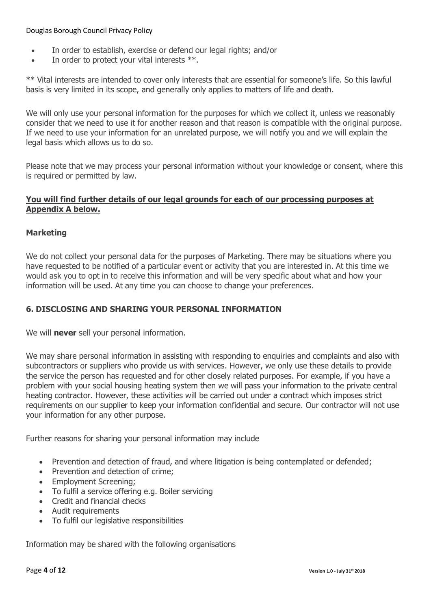- In order to establish, exercise or defend our legal rights; and/or
- $\bullet$  In order to protect your vital interests  $**$ .

\*\* Vital interests are intended to cover only interests that are essential for someone's life. So this lawful basis is very limited in its scope, and generally only applies to matters of life and death.

We will only use your personal information for the purposes for which we collect it, unless we reasonably consider that we need to use it for another reason and that reason is compatible with the original purpose. If we need to use your information for an unrelated purpose, we will notify you and we will explain the legal basis which allows us to do so.

Please note that we may process your personal information without your knowledge or consent, where this is required or permitted by law.

## **You will find further details of our legal grounds for each of our processing purposes at Appendix A below.**

## **Marketing**

We do not collect your personal data for the purposes of Marketing. There may be situations where you have requested to be notified of a particular event or activity that you are interested in. At this time we would ask you to opt in to receive this information and will be very specific about what and how your information will be used. At any time you can choose to change your preferences.

## **6. DISCLOSING AND SHARING YOUR PERSONAL INFORMATION**

We will **never** sell your personal information.

We may share personal information in assisting with responding to enquiries and complaints and also with subcontractors or suppliers who provide us with services. However, we only use these details to provide the service the person has requested and for other closely related purposes. For example, if you have a problem with your social housing heating system then we will pass your information to the private central heating contractor. However, these activities will be carried out under a contract which imposes strict requirements on our supplier to keep your information confidential and secure. Our contractor will not use your information for any other purpose.

Further reasons for sharing your personal information may include

- Prevention and detection of fraud, and where litigation is being contemplated or defended;
- Prevention and detection of crime;
- Employment Screening:
- To fulfil a service offering e.g. Boiler servicing
- Credit and financial checks
- Audit requirements
- To fulfil our legislative responsibilities

Information may be shared with the following organisations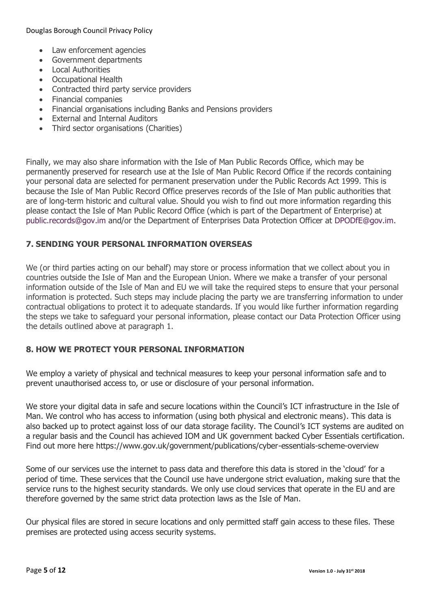- Law enforcement agencies
- Government departments
- Local Authorities
- Occupational Health
- Contracted third party service providers
- Financial companies
- Financial organisations including Banks and Pensions providers
- External and Internal Auditors
- Third sector organisations (Charities)

Finally, we may also share information with the Isle of Man Public Records Office, which may be permanently preserved for research use at the Isle of Man Public Record Office if the records containing your personal data are selected for permanent preservation under the Public Records Act 1999. This is because the Isle of Man Public Record Office preserves records of the Isle of Man public authorities that are of long-term historic and cultural value. Should you wish to find out more information regarding this please contact the Isle of Man Public Record Office (which is part of the Department of Enterprise) at [public.records@gov.im](mailto:public.records@gov.im) and/or the Department of Enterprises Data Protection Officer at [DPODfE@gov.im.](mailto:DPODfE@gov.im)

## **7. SENDING YOUR PERSONAL INFORMATION OVERSEAS**

We (or third parties acting on our behalf) may store or process information that we collect about you in countries outside the Isle of Man and the European Union. Where we make a transfer of your personal information outside of the Isle of Man and EU we will take the required steps to ensure that your personal information is protected. Such steps may include placing the party we are transferring information to under contractual obligations to protect it to adequate standards. If you would like further information regarding the steps we take to safeguard your personal information, please contact our Data Protection Officer using the details outlined above at paragraph 1.

## **8. HOW WE PROTECT YOUR PERSONAL INFORMATION**

We employ a variety of physical and technical measures to keep your personal information safe and to prevent unauthorised access to, or use or disclosure of your personal information.

We store your digital data in safe and secure locations within the Council's ICT infrastructure in the Isle of Man. We control who has access to information (using both physical and electronic means). This data is also backed up to protect against loss of our data storage facility. The Council's ICT systems are audited on a regular basis and the Council has achieved IOM and UK government backed Cyber Essentials certification. Find out more here<https://www.gov.uk/government/publications/cyber-essentials-scheme-overview>

Some of our services use the internet to pass data and therefore this data is stored in the 'cloud' for a period of time. These services that the Council use have undergone strict evaluation, making sure that the service runs to the highest security standards. We only use cloud services that operate in the EU and are therefore governed by the same strict data protection laws as the Isle of Man.

Our physical files are stored in secure locations and only permitted staff gain access to these files. These premises are protected using access security systems.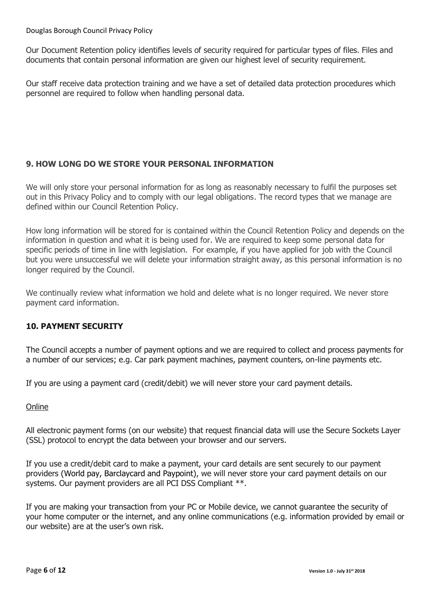Our Document Retention policy identifies levels of security required for particular types of files. Files and documents that contain personal information are given our highest level of security requirement.

Our staff receive data protection training and we have a set of detailed data protection procedures which personnel are required to follow when handling personal data.

# **9. HOW LONG DO WE STORE YOUR PERSONAL INFORMATION**

We will only store your personal information for as long as reasonably necessary to fulfil the purposes set out in this Privacy Policy and to comply with our legal obligations. The record types that we manage are defined within our Council Retention Policy.

How long information will be stored for is contained within the Council Retention Policy and depends on the information in question and what it is being used for. We are required to keep some personal data for specific periods of time in line with legislation. For example, if you have applied for job with the Council but you were unsuccessful we will delete your information straight away, as this personal information is no longer required by the Council.

We continually review what information we hold and delete what is no longer required. We never store payment card information.

# **10. PAYMENT SECURITY**

The Council accepts a number of payment options and we are required to collect and process payments for a number of our services; e.g. Car park payment machines, payment counters, on-line payments etc.

If you are using a payment card (credit/debit) we will never store your card payment details.

## **Online**

All electronic payment forms (on our website) that request financial data will use the Secure Sockets Layer (SSL) protocol to encrypt the data between your browser and our servers.

If you use a credit/debit card to make a payment, your card details are sent securely to our payment providers (World pay, Barclaycard and Paypoint), we will never store your card payment details on our systems. Our payment providers are all PCI DSS Compliant \*\*.

If you are making your transaction from your PC or Mobile device, we cannot guarantee the security of your home computer or the internet, and any online communications (e.g. information provided by email or our website) are at the user's own risk.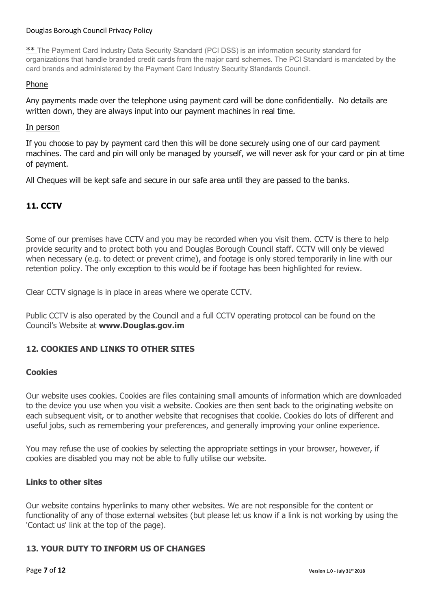\*\* The Payment Card Industry Data Security Standard (PCI DSS) is an information security standard for organizations that handle branded credit cards from the major card schemes. The PCI Standard is mandated by the card brands and administered by the Payment Card Industry Security Standards Council.

#### Phone

Any payments made over the telephone using payment card will be done confidentially. No details are written down, they are always input into our payment machines in real time.

#### In person

If you choose to pay by payment card then this will be done securely using one of our card payment machines. The card and pin will only be managed by yourself, we will never ask for your card or pin at time of payment.

All Cheques will be kept safe and secure in our safe area until they are passed to the banks.

## **11. CCTV**

Some of our premises have CCTV and you may be recorded when you visit them. CCTV is there to help provide security and to protect both you and Douglas Borough Council staff. CCTV will only be viewed when necessary (e.g. to detect or prevent crime), and footage is only stored temporarily in line with our retention policy. The only exception to this would be if footage has been highlighted for review.

Clear CCTV signage is in place in areas where we operate CCTV.

Public CCTV is also operated by the Council and a full CCTV operating protocol can be found on the Council's Website at **www.Douglas.gov.im**

#### **12. COOKIES AND LINKS TO OTHER SITES**

#### **Cookies**

Our website uses cookies. Cookies are files containing small amounts of information which are downloaded to the device you use when you visit a website. Cookies are then sent back to the originating website on each subsequent visit, or to another website that recognises that cookie. Cookies do lots of different and useful jobs, such as remembering your preferences, and generally improving your online experience.

You may refuse the use of cookies by selecting the appropriate settings in your browser, however, if cookies are disabled you may not be able to fully utilise our website.

#### **Links to other sites**

Our website contains hyperlinks to many other websites. We are not responsible for the content or functionality of any of those external websites (but please let us know if a link is not working by using the 'Contact us' link at the top of the page).

#### **13. YOUR DUTY TO INFORM US OF CHANGES**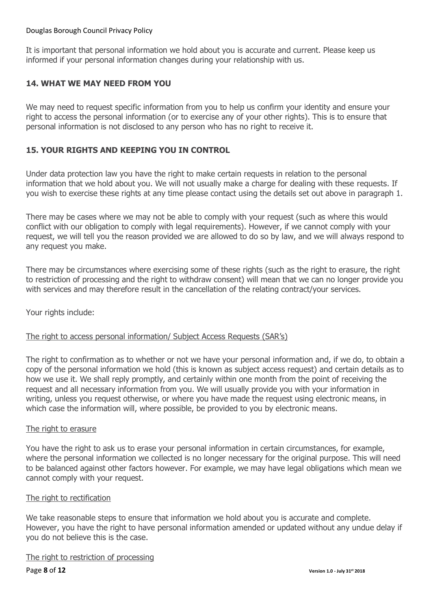It is important that personal information we hold about you is accurate and current. Please keep us informed if your personal information changes during your relationship with us.

## **14. WHAT WE MAY NEED FROM YOU**

We may need to request specific information from you to help us confirm your identity and ensure your right to access the personal information (or to exercise any of your other rights). This is to ensure that personal information is not disclosed to any person who has no right to receive it.

## **15. YOUR RIGHTS AND KEEPING YOU IN CONTROL**

Under data protection law you have the right to make certain requests in relation to the personal information that we hold about you. We will not usually make a charge for dealing with these requests. If you wish to exercise these rights at any time please contact using the details set out above in paragraph 1.

There may be cases where we may not be able to comply with your request (such as where this would conflict with our obligation to comply with legal requirements). However, if we cannot comply with your request, we will tell you the reason provided we are allowed to do so by law, and we will always respond to any request you make.

There may be circumstances where exercising some of these rights (such as the right to erasure, the right to restriction of processing and the right to withdraw consent) will mean that we can no longer provide you with services and may therefore result in the cancellation of the relating contract/your services.

Your rights include:

#### The right to access personal information/ Subject Access Requests (SAR's)

The right to confirmation as to whether or not we have your personal information and, if we do, to obtain a copy of the personal information we hold (this is known as subject access request) and certain details as to how we use it. We shall reply promptly, and certainly within one month from the point of receiving the request and all necessary information from you. We will usually provide you with your information in writing, unless you request otherwise, or where you have made the request using electronic means, in which case the information will, where possible, be provided to you by electronic means.

#### The right to erasure

You have the right to ask us to erase your personal information in certain circumstances, for example, where the personal information we collected is no longer necessary for the original purpose. This will need to be balanced against other factors however. For example, we may have legal obligations which mean we cannot comply with your request.

#### The right to rectification

We take reasonable steps to ensure that information we hold about you is accurate and complete. However, you have the right to have personal information amended or updated without any undue delay if you do not believe this is the case.

#### The right to restriction of processing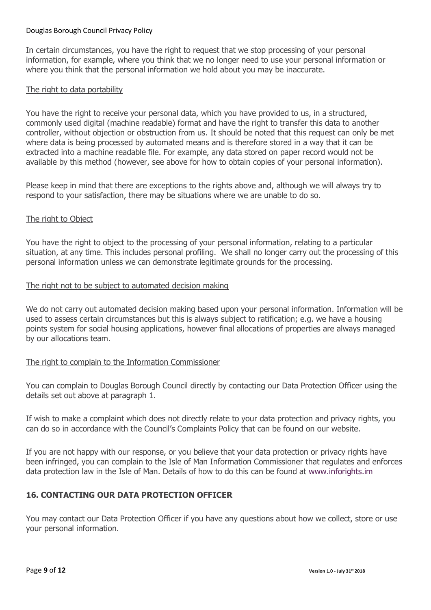In certain circumstances, you have the right to request that we stop processing of your personal information, for example, where you think that we no longer need to use your personal information or where you think that the personal information we hold about you may be inaccurate.

#### The right to data portability

You have the right to receive your personal data, which you have provided to us, in a structured, commonly used digital (machine readable) format and have the right to transfer this data to another controller, without objection or obstruction from us. It should be noted that this request can only be met where data is being processed by automated means and is therefore stored in a way that it can be extracted into a machine readable file. For example, any data stored on paper record would not be available by this method (however, see above for how to obtain copies of your personal information).

Please keep in mind that there are exceptions to the rights above and, although we will always try to respond to your satisfaction, there may be situations where we are unable to do so.

#### The right to Object

You have the right to object to the processing of your personal information, relating to a particular situation, at any time. This includes personal profiling. We shall no longer carry out the processing of this personal information unless we can demonstrate legitimate grounds for the processing.

#### The right not to be subject to automated decision making

We do not carry out automated decision making based upon your personal information. Information will be used to assess certain circumstances but this is always subject to ratification; e.g. we have a housing points system for social housing applications, however final allocations of properties are always managed by our allocations team.

#### The right to complain to the Information Commissioner

You can complain to Douglas Borough Council directly by contacting our Data Protection Officer using the details set out above at paragraph 1.

If wish to make a complaint which does not directly relate to your data protection and privacy rights, you can do so in accordance with the Council's Complaints Policy that can be found on our website.

If you are not happy with our response, or you believe that your data protection or privacy rights have been infringed, you can complain to the Isle of Man Information Commissioner that regulates and enforces data protection law in the Isle of Man. Details of how to do this can be found at [www.inforights.im](http://www.inforights.im/)

#### **16. CONTACTING OUR DATA PROTECTION OFFICER**

You may contact our Data Protection Officer if you have any questions about how we collect, store or use your personal information.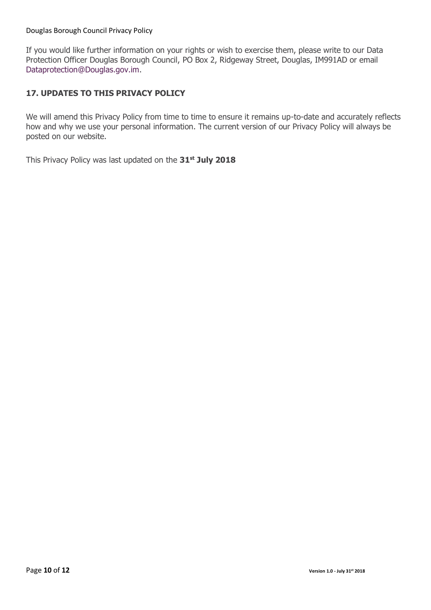If you would like further information on your rights or wish to exercise them, please write to our Data Protection Officer Douglas Borough Council, PO Box 2, Ridgeway Street, Douglas, IM991AD or email [Dataprotection@Douglas.gov.im.](mailto:DataProtection@Douglas.gov.im)

## **17. UPDATES TO THIS PRIVACY POLICY**

We will amend this Privacy Policy from time to time to ensure it remains up-to-date and accurately reflects how and why we use your personal information. The current version of our Privacy Policy will always be posted on our website.

This Privacy Policy was last updated on the **31st July 2018**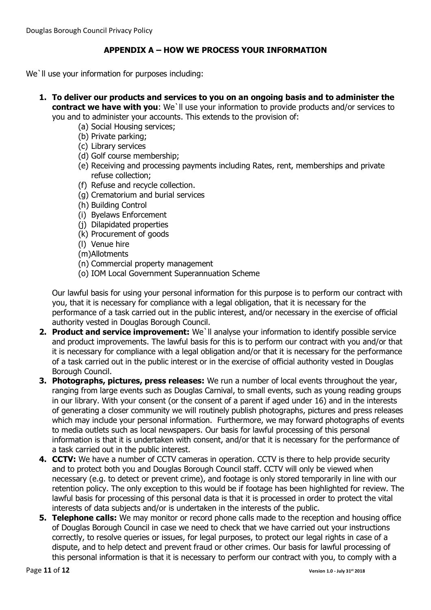# **APPENDIX A – HOW WE PROCESS YOUR INFORMATION**

We'll use your information for purposes including:

- **1. To deliver our products and services to you on an ongoing basis and to administer the contract we have with you**: We`ll use your information to provide products and/or services to you and to administer your accounts. This extends to the provision of:
	- (a) Social Housing services;
	- (b) Private parking;
	- (c) Library services
	- (d) Golf course membership;
	- (e) Receiving and processing payments including Rates, rent, memberships and private refuse collection;
	- (f) Refuse and recycle collection.
	- (g) Crematorium and burial services
	- (h) Building Control
	- (i) Byelaws Enforcement
	- (j) Dilapidated properties
	- (k) Procurement of goods
	- (l) Venue hire
	- (m)Allotments
	- (n) Commercial property management
	- (o) IOM Local Government Superannuation Scheme

Our lawful basis for using your personal information for this purpose is to perform our contract with you, that it is necessary for compliance with a legal obligation, that it is necessary for the performance of a task carried out in the public interest, and/or necessary in the exercise of official authority vested in Douglas Borough Council.

- **2. Product and service improvement:** We`ll analyse your information to identify possible service and product improvements. The lawful basis for this is to perform our contract with you and/or that it is necessary for compliance with a legal obligation and/or that it is necessary for the performance of a task carried out in the public interest or in the exercise of official authority vested in Douglas Borough Council.
- **3. Photographs, pictures, press releases:** We run a number of local events throughout the year, ranging from large events such as Douglas Carnival, to small events, such as young reading groups in our library. With your consent (or the consent of a parent if aged under 16) and in the interests of generating a closer community we will routinely publish photographs, pictures and press releases which may include your personal information. Furthermore, we may forward photographs of events to media outlets such as local newspapers. Our basis for lawful processing of this personal information is that it is undertaken with consent, and/or that it is necessary for the performance of a task carried out in the public interest.
- **4. CCTV:** We have a number of CCTV cameras in operation. CCTV is there to help provide security and to protect both you and Douglas Borough Council staff. CCTV will only be viewed when necessary (e.g. to detect or prevent crime), and footage is only stored temporarily in line with our retention policy. The only exception to this would be if footage has been highlighted for review. The lawful basis for processing of this personal data is that it is processed in order to protect the vital interests of data subjects and/or is undertaken in the interests of the public.
- **5. Telephone calls:** We may monitor or record phone calls made to the reception and housing office of Douglas Borough Council in case we need to check that we have carried out your instructions correctly, to resolve queries or issues, for legal purposes, to protect our legal rights in case of a dispute, and to help detect and prevent fraud or other crimes. Our basis for lawful processing of this personal information is that it is necessary to perform our contract with you, to comply with a